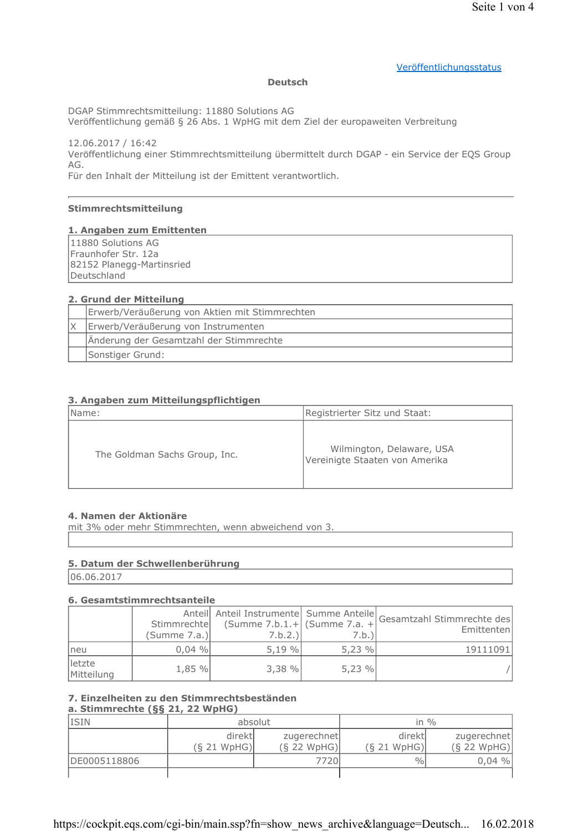#### Veröffentlichungsstatus

#### **Deutsch**

DGAP Stimmrechtsmitteilung: 11880 Solutions AG

Veröffentlichung gemäß § 26 Abs. 1 WpHG mit dem Ziel der europaweiten Verbreitung

12.06.2017 / 16:42 Veröffentlichung einer Stimmrechtsmitteilung übermittelt durch DGAP - ein Service der EQS Group AG.

Für den Inhalt der Mitteilung ist der Emittent verantwortlich.

#### Stimmrechtsmitteilung

#### 1. Angaben zum Emittenten

11880 Solutions AG Fraunhofer Str. 12a 82152 Planegg-Martinsried Deutschland

#### 2. Grund der Mitteilung

| Erwerb/Veräußerung von Aktien mit Stimmrechten |
|------------------------------------------------|
| Erwerb/Veräußerung von Instrumenten            |
| Änderung der Gesamtzahl der Stimmrechte        |
| Sonstiger Grund:                               |

#### 3. Angaben zum Mitteilungspflichtigen

| Name:                         | Registrierter Sitz und Staat:                               |
|-------------------------------|-------------------------------------------------------------|
| The Goldman Sachs Group, Inc. | Wilmington, Delaware, USA<br>Vereinigte Staaten von Amerika |

#### 4. Namen der Aktionäre

mit 3% oder mehr Stimmrechten, wenn abweichend von 3.

#### 5. Datum der Schwellenberührung

06.06.2017

#### 6. Gesamtstimmrechtsanteile

|                      | Stimmrechte<br>(Summe 7.a.) | (Summe $7.b.1.+$ (Summe $7.a. +$<br>7.b.2.) | 7.b.) | Anteil Anteil Instrumente Summe Anteile Gesamtzahl Stimmrechte des<br>Emittenten |
|----------------------|-----------------------------|---------------------------------------------|-------|----------------------------------------------------------------------------------|
| neu                  | $0,04\%$                    | 5,19%                                       | 5,23% | 19111091                                                                         |
| letzte<br>Mitteilung | 1,85 %                      | 3,38%                                       | 5.23% |                                                                                  |

# 7. Einzelheiten zu den Stimmrechtsbeständen

# a. Stimmrechte (§§ 21, 22 WpHG)

| <b>ISIN</b>  | absolut                |                              | in $\%$                |                              |
|--------------|------------------------|------------------------------|------------------------|------------------------------|
|              | direktl<br>(S 21 WpHG) | zugerechnet<br>$(S$ 22 WpHG) | direktl<br>(S 21 WpHG) | zugerechnet<br>$(S$ 22 WpHG) |
| DE0005118806 |                        | 7720                         | $\frac{0}{0}$          | $0,04\%$                     |
|              |                        |                              |                        |                              |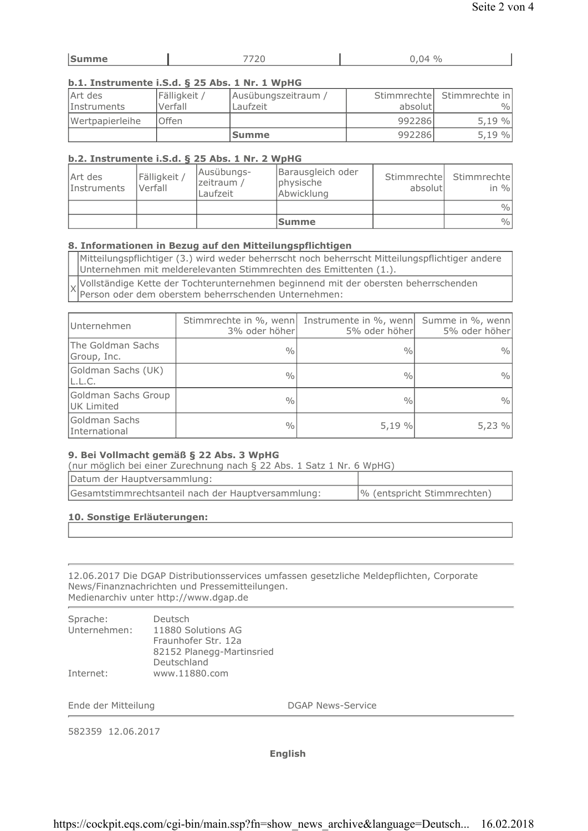| lsu<br>ane. | _____ | $\sim$<br>$\Omega$<br>$\frac{v}{0}$<br>$\overline{ }$<br>້ |
|-------------|-------|------------------------------------------------------------|
|             |       |                                                            |

# b.1. Instrumente i.S.d. § 25 Abs. 1 Nr. 1 WpHG

| Art des<br>Instruments | Fälligkeit /<br>Verfall | Ausübungszeitraum /<br>Laufzeit | absolutl | Stimmrechtel Stimmrechte in<br>$\frac{0}{0}$ |
|------------------------|-------------------------|---------------------------------|----------|----------------------------------------------|
| Wertpapierleihe        | lOffen                  |                                 | 992286   | 5,19%                                        |
|                        |                         | <b>Summe</b>                    | 992286   | 5,19%                                        |

# b.2. Instrumente i.S.d. § 25 Abs. 1 Nr. 2 WpHG

| Art des<br>Instruments | Fälligkeit<br>Verfall | Ausübungs-<br>zeitraum /<br>Laufzeit | Barausgleich oder<br>physische<br>Abwicklung | Stimmrechtel<br>absolutl | Stimmrechtel<br>in $\%$ |
|------------------------|-----------------------|--------------------------------------|----------------------------------------------|--------------------------|-------------------------|
|                        |                       |                                      |                                              |                          | $\frac{0}{0}$           |
|                        |                       |                                      | <b>Summe</b>                                 |                          | $\frac{0}{0}$           |

# 8. Informationen in Bezug auf den Mitteilungspflichtigen

Mitteilungspflichtiger (3.) wird weder beherrscht noch beherrscht Mitteilungspflichtiger andere Unternehmen mit melderelevanten Stimmrechten des Emittenten (1.).

Vollständige Kette der Tochterunternehmen beginnend mit der obersten beherrschenden  $\times$ Person oder dem oberstem beherrschenden Unternehmen:

| Unternehmen                       | 3% oder höher | Stimmrechte in %, wenn Instrumente in %, wenn<br>5% oder höher | Summe in %, wenn<br>5% oder höher |
|-----------------------------------|---------------|----------------------------------------------------------------|-----------------------------------|
| The Goldman Sachs<br>Group, Inc.  | $\frac{0}{0}$ | $\frac{0}{0}$                                                  | $\frac{0}{0}$                     |
| Goldman Sachs (UK)<br>L.L.C.      | $\frac{0}{0}$ | $\frac{0}{0}$                                                  | $\frac{0}{0}$                     |
| Goldman Sachs Group<br>UK Limited | $\frac{0}{0}$ | $\frac{0}{0}$                                                  | $\frac{0}{0}$                     |
| Goldman Sachs<br>International    | $\frac{0}{0}$ | 5,19%                                                          | 5,23%                             |

### 9. Bei Vollmacht gemäß § 22 Abs. 3 WpHG

(nur möglich bei einer Zurechnung nach § 22 Abs. 1 Satz 1 Nr. 6 WpHG)

| Datum der Hauptversammlung:                        |                             |
|----------------------------------------------------|-----------------------------|
| Gesamtstimmrechtsanteil nach der Hauptversammlung: | % (entspricht Stimmrechten) |

# 10. Sonstige Erläuterungen:

12.06.2017 Die DGAP Distributionsservices umfassen gesetzliche Meldepflichten, Corporate News/Finanznachrichten und Pressemitteilungen. Medienarchiv unter http://www.dgap.de

| Sprache:     | Deutsch                   |
|--------------|---------------------------|
| Unternehmen: | 11880 Solutions AG        |
|              | Fraunhofer Str. 12a       |
|              | 82152 Planegg-Martinsried |
|              | Deutschland               |
| Internet:    | www.11880.com             |

Ende der Mitteilung

**DGAP News-Service** 

582359 12.06.2017

**English**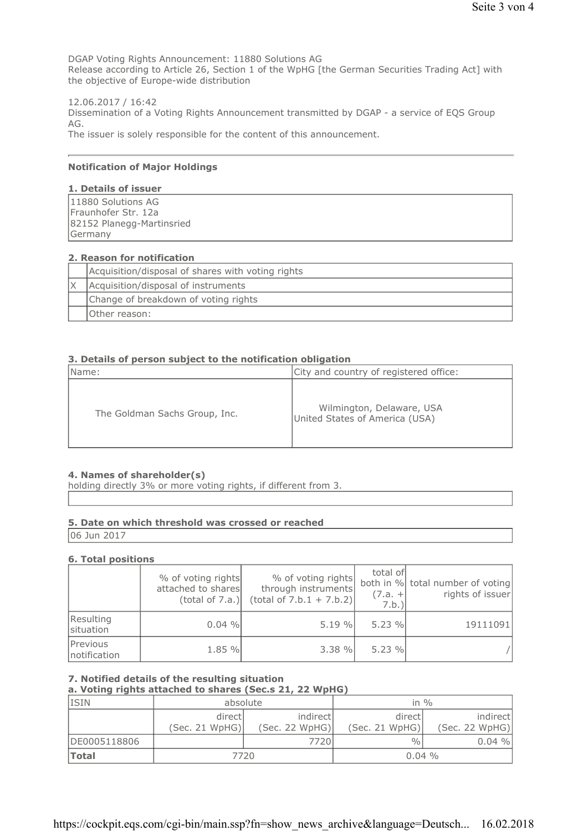DGAP Voting Rights Announcement: 11880 Solutions AG Release according to Article 26, Section 1 of the WpHG [the German Securities Trading Act] with the objective of Europe-wide distribution

12.06.2017 / 16:42 Dissemination of a Voting Rights Announcement transmitted by DGAP - a service of EQS Group AG. The issuer is solely responsible for the content of this announcement.

#### **Notification of Major Holdings**

#### 1. Details of issuer

| 11880 Solutions AG        |  |
|---------------------------|--|
| Fraunhofer Str. 12a       |  |
| 82152 Planegg-Martinsried |  |
| Germany                   |  |

#### 2. Reason for notification

| Acquisition/disposal of shares with voting rights |
|---------------------------------------------------|
| Acquisition/disposal of instruments               |
| Change of breakdown of voting rights              |
| IOther reason:                                    |

#### 3. Details of person subject to the notification obligation

| Name:                         | City and country of registered office:                      |
|-------------------------------|-------------------------------------------------------------|
| The Goldman Sachs Group, Inc. | Wilmington, Delaware, USA<br>United States of America (USA) |

#### 4. Names of shareholder(s)

holding directly 3% or more voting rights, if different from 3.

#### 5. Date on which threshold was crossed or reached

06 Jun 2017

#### **6. Total positions**

|                          | % of voting rights<br>attached to shares<br>(total of 7.a.) | % of voting rights<br>through instruments<br>$(total of 7.b.1 + 7.b.2)$ | total of<br>$(7.a. +$<br>7.b. | both in % total number of voting<br>rights of issuer |
|--------------------------|-------------------------------------------------------------|-------------------------------------------------------------------------|-------------------------------|------------------------------------------------------|
| Resulting<br>situation   | $0.04 \%$                                                   | 5.19%                                                                   | 5.23%                         | 19111091                                             |
| Previous<br>notification | 1.85 %                                                      | $3.38 \%$                                                               | 5.23%                         |                                                      |

# 7. Notified details of the resulting situation

a. Voting rights attached to shares (Sec.s 21, 22 WpHG)

| <b>ISIN</b>  | absolute                  |                             | in $\frac{0}{0}$          |                            |
|--------------|---------------------------|-----------------------------|---------------------------|----------------------------|
|              | directl<br>(Sec. 21 WpHG) | indirectl<br>(Sec. 22 WpHG) | directl<br>(Sec. 21 WpHG) | indirect<br>(Sec. 22 WpHG) |
| DE0005118806 |                           | 7720                        | $\frac{0}{0}$             | $0.04\%$                   |
| <b>Total</b> | 7720                      |                             | $0.04\%$                  |                            |